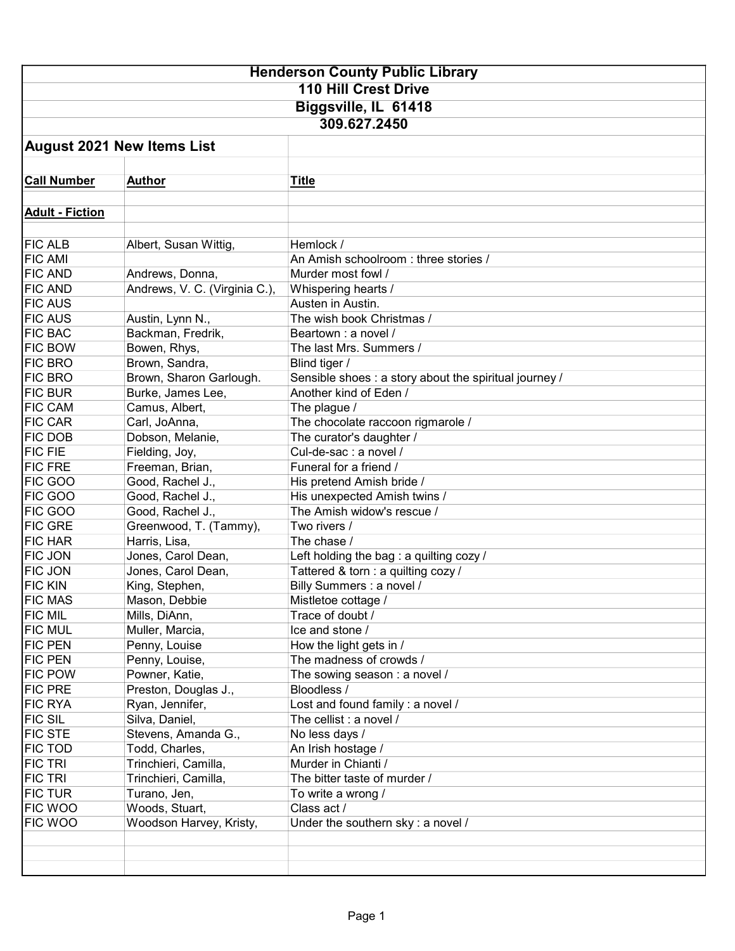| <b>Henderson County Public Library</b> |                               |                                                        |  |  |  |
|----------------------------------------|-------------------------------|--------------------------------------------------------|--|--|--|
| <b>110 Hill Crest Drive</b>            |                               |                                                        |  |  |  |
| Biggsville, IL 61418                   |                               |                                                        |  |  |  |
| 309.627.2450                           |                               |                                                        |  |  |  |
|                                        |                               |                                                        |  |  |  |
| <b>August 2021 New Items List</b>      |                               |                                                        |  |  |  |
|                                        |                               |                                                        |  |  |  |
| <b>Call Number</b>                     | <b>Author</b>                 | <b>Title</b>                                           |  |  |  |
| <b>Adult - Fiction</b>                 |                               |                                                        |  |  |  |
|                                        |                               |                                                        |  |  |  |
| <b>FIC ALB</b>                         | Albert, Susan Wittig,         | Hemlock /                                              |  |  |  |
| <b>FIC AMI</b>                         |                               | An Amish schoolroom: three stories /                   |  |  |  |
| <b>FIC AND</b>                         | Andrews, Donna,               | Murder most fowl /                                     |  |  |  |
| <b>FIC AND</b>                         | Andrews, V. C. (Virginia C.), | Whispering hearts /                                    |  |  |  |
| <b>FIC AUS</b>                         |                               | Austen in Austin.                                      |  |  |  |
| <b>FIC AUS</b>                         | Austin, Lynn N.,              | The wish book Christmas /                              |  |  |  |
| <b>FIC BAC</b>                         | Backman, Fredrik,             | Beartown : a novel /                                   |  |  |  |
| <b>FIC BOW</b>                         |                               |                                                        |  |  |  |
| <b>FIC BRO</b>                         | Bowen, Rhys,                  | The last Mrs. Summers /                                |  |  |  |
|                                        | Brown, Sandra,                | Blind tiger /                                          |  |  |  |
| <b>FIC BRO</b>                         | Brown, Sharon Garlough.       | Sensible shoes : a story about the spiritual journey / |  |  |  |
| <b>FIC BUR</b>                         | Burke, James Lee,             | Another kind of Eden /                                 |  |  |  |
| <b>FIC CAM</b>                         | Camus, Albert,                | The plague /                                           |  |  |  |
| <b>FIC CAR</b>                         | Carl, JoAnna,                 | The chocolate raccoon rigmarole /                      |  |  |  |
| <b>FIC DOB</b>                         | Dobson, Melanie,              | The curator's daughter /                               |  |  |  |
| <b>FIC FIE</b>                         | Fielding, Joy,                | Cul-de-sac : a novel /                                 |  |  |  |
| <b>FIC FRE</b>                         | Freeman, Brian,               | Funeral for a friend /                                 |  |  |  |
| <b>FIC GOO</b>                         | Good, Rachel J.,              | His pretend Amish bride /                              |  |  |  |
| <b>FIC GOO</b>                         | Good, Rachel J.,              | His unexpected Amish twins /                           |  |  |  |
| <b>FIC GOO</b>                         | Good, Rachel J.,              | The Amish widow's rescue /                             |  |  |  |
| <b>FIC GRE</b>                         | Greenwood, T. (Tammy),        | Two rivers /                                           |  |  |  |
| <b>FIC HAR</b>                         | Harris, Lisa,                 | The chase /                                            |  |  |  |
| <b>FIC JON</b>                         | Jones, Carol Dean,            | Left holding the bag : a quilting cozy /               |  |  |  |
| <b>FIC JON</b>                         | Jones, Carol Dean,            | Tattered & torn : a quilting cozy /                    |  |  |  |
| <b>FIC KIN</b>                         | King, Stephen,                | Billy Summers : a novel /                              |  |  |  |
| <b>FIC MAS</b>                         | Mason, Debbie                 | Mistletoe cottage /                                    |  |  |  |
| <b>FIC MIL</b>                         | Mills, DiAnn,                 | Trace of doubt /                                       |  |  |  |
| <b>FIC MUL</b>                         | Muller, Marcia,               | Ice and stone /                                        |  |  |  |
| <b>FIC PEN</b>                         | Penny, Louise                 | How the light gets in /                                |  |  |  |
| <b>FIC PEN</b>                         | Penny, Louise,                | The madness of crowds /                                |  |  |  |
| <b>FIC POW</b>                         | Powner, Katie,                | The sowing season: a novel /                           |  |  |  |
| <b>FIC PRE</b>                         | Preston, Douglas J.,          | Bloodless /                                            |  |  |  |
| <b>FIC RYA</b>                         | Ryan, Jennifer,               | Lost and found family : a novel /                      |  |  |  |
| <b>FIC SIL</b>                         | Silva, Daniel,                | The cellist : a novel /                                |  |  |  |
| <b>FIC STE</b>                         | Stevens, Amanda G.,           | No less days /                                         |  |  |  |
| <b>FIC TOD</b>                         | Todd, Charles,                | An Irish hostage /                                     |  |  |  |
| <b>FIC TRI</b>                         | Trinchieri, Camilla,          | Murder in Chianti /                                    |  |  |  |
| <b>FIC TRI</b>                         | Trinchieri, Camilla,          | The bitter taste of murder /                           |  |  |  |
| <b>FIC TUR</b>                         | Turano, Jen,                  | To write a wrong /                                     |  |  |  |
| <b>FIC WOO</b>                         | Woods, Stuart,                | Class act /                                            |  |  |  |
| FIC WOO                                | Woodson Harvey, Kristy,       | Under the southern sky: a novel /                      |  |  |  |
|                                        |                               |                                                        |  |  |  |
|                                        |                               |                                                        |  |  |  |
|                                        |                               |                                                        |  |  |  |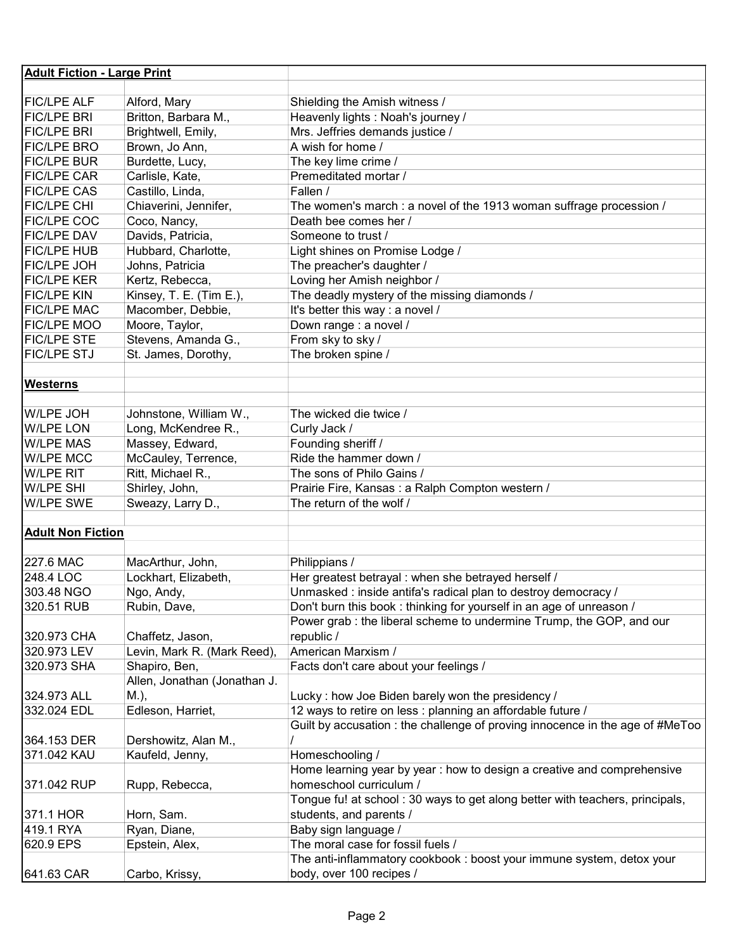| <b>Adult Fiction - Large Print</b> |                                               |                                                                                                                       |
|------------------------------------|-----------------------------------------------|-----------------------------------------------------------------------------------------------------------------------|
|                                    |                                               |                                                                                                                       |
| <b>FIC/LPE ALF</b>                 | Alford, Mary                                  | Shielding the Amish witness /                                                                                         |
| <b>FIC/LPE BRI</b>                 | Britton, Barbara M.,                          | Heavenly lights : Noah's journey /                                                                                    |
| <b>FIC/LPE BRI</b>                 | Brightwell, Emily,                            | Mrs. Jeffries demands justice /                                                                                       |
| <b>FIC/LPE BRO</b>                 | Brown, Jo Ann,                                | A wish for home /                                                                                                     |
| <b>FIC/LPE BUR</b>                 | Burdette, Lucy,                               | The key lime crime /                                                                                                  |
| <b>FIC/LPE CAR</b>                 | Carlisle, Kate,                               | Premeditated mortar /                                                                                                 |
| <b>FIC/LPE CAS</b>                 | Castillo, Linda,                              | Fallen /                                                                                                              |
| <b>FIC/LPE CHI</b>                 | Chiaverini, Jennifer,                         | The women's march : a novel of the 1913 woman suffrage procession /                                                   |
| <b>FIC/LPE COC</b>                 | Coco, Nancy,                                  | Death bee comes her /                                                                                                 |
| <b>FIC/LPE DAV</b>                 | Davids, Patricia,                             | Someone to trust /                                                                                                    |
| <b>FIC/LPE HUB</b>                 | Hubbard, Charlotte,                           | Light shines on Promise Lodge /                                                                                       |
| <b>FIC/LPE JOH</b>                 | Johns, Patricia                               | The preacher's daughter /                                                                                             |
| <b>FIC/LPE KER</b>                 | Kertz, Rebecca,                               | Loving her Amish neighbor /                                                                                           |
| <b>FIC/LPE KIN</b>                 | Kinsey, T. E. (Tim E.),                       | The deadly mystery of the missing diamonds /                                                                          |
| <b>FIC/LPE MAC</b>                 | Macomber, Debbie,                             | It's better this way : a novel /                                                                                      |
| <b>FIC/LPE MOO</b>                 | Moore, Taylor,                                | Down range : a novel /                                                                                                |
| <b>FIC/LPE STE</b>                 | Stevens, Amanda G.,                           | From sky to sky /                                                                                                     |
| <b>FIC/LPE STJ</b>                 | St. James, Dorothy,                           | The broken spine /                                                                                                    |
|                                    |                                               |                                                                                                                       |
| <b>Westerns</b>                    |                                               |                                                                                                                       |
|                                    |                                               |                                                                                                                       |
| W/LPE JOH                          | Johnstone, William W.,                        | The wicked die twice /                                                                                                |
| <b>W/LPE LON</b>                   | Long, McKendree R.,                           | Curly Jack /                                                                                                          |
| <b>W/LPE MAS</b>                   | Massey, Edward,                               | Founding sheriff /                                                                                                    |
| <b>W/LPE MCC</b>                   | McCauley, Terrence,                           | Ride the hammer down /                                                                                                |
| <b>W/LPE RIT</b>                   | Ritt, Michael R.,                             | The sons of Philo Gains /                                                                                             |
| <b>W/LPE SHI</b>                   | Shirley, John,                                | Prairie Fire, Kansas : a Ralph Compton western /                                                                      |
| <b>W/LPE SWE</b>                   | Sweazy, Larry D.,                             | The return of the wolf /                                                                                              |
|                                    |                                               |                                                                                                                       |
| <b>Adult Non Fiction</b>           |                                               |                                                                                                                       |
|                                    |                                               |                                                                                                                       |
| 227.6 MAC                          | MacArthur, John,                              |                                                                                                                       |
| 248.4 LOC                          |                                               | Philippians /                                                                                                         |
|                                    | Lockhart, Elizabeth,                          | Her greatest betrayal : when she betrayed herself /<br>Unmasked : inside antifa's radical plan to destroy democracy / |
| 303.48 NGO                         | Ngo, Andy,                                    |                                                                                                                       |
| 320.51 RUB                         | Rubin, Dave,                                  | Don't burn this book: thinking for yourself in an age of unreason /                                                   |
|                                    |                                               | Power grab : the liberal scheme to undermine Trump, the GOP, and our                                                  |
| 320.973 CHA                        | Chaffetz, Jason,                              | republic /<br>American Marxism /                                                                                      |
| 320.973 LEV                        | Levin, Mark R. (Mark Reed),                   |                                                                                                                       |
| 320.973 SHA                        | Shapiro, Ben,<br>Allen, Jonathan (Jonathan J. | Facts don't care about your feelings /                                                                                |
|                                    |                                               |                                                                                                                       |
| 324.973 ALL                        | M.),                                          | Lucky: how Joe Biden barely won the presidency /                                                                      |
| 332.024 EDL                        | Edleson, Harriet,                             | 12 ways to retire on less : planning an affordable future /                                                           |
|                                    |                                               | Guilt by accusation : the challenge of proving innocence in the age of #MeToo                                         |
| 364.153 DER                        | Dershowitz, Alan M.,                          |                                                                                                                       |
| 371.042 KAU                        | Kaufeld, Jenny,                               | Homeschooling /                                                                                                       |
|                                    |                                               | Home learning year by year : how to design a creative and comprehensive                                               |
| 371.042 RUP                        | Rupp, Rebecca,                                | homeschool curriculum /                                                                                               |
|                                    |                                               | Tongue fu! at school: 30 ways to get along better with teachers, principals,                                          |
| 371.1 HOR                          | Horn, Sam.                                    | students, and parents /                                                                                               |
| 419.1 RYA                          | Ryan, Diane,                                  | Baby sign language /                                                                                                  |
| 620.9 EPS                          | Epstein, Alex,                                | The moral case for fossil fuels /                                                                                     |
|                                    |                                               | The anti-inflammatory cookbook: boost your immune system, detox your                                                  |
| 641.63 CAR                         | Carbo, Krissy,                                | body, over 100 recipes /                                                                                              |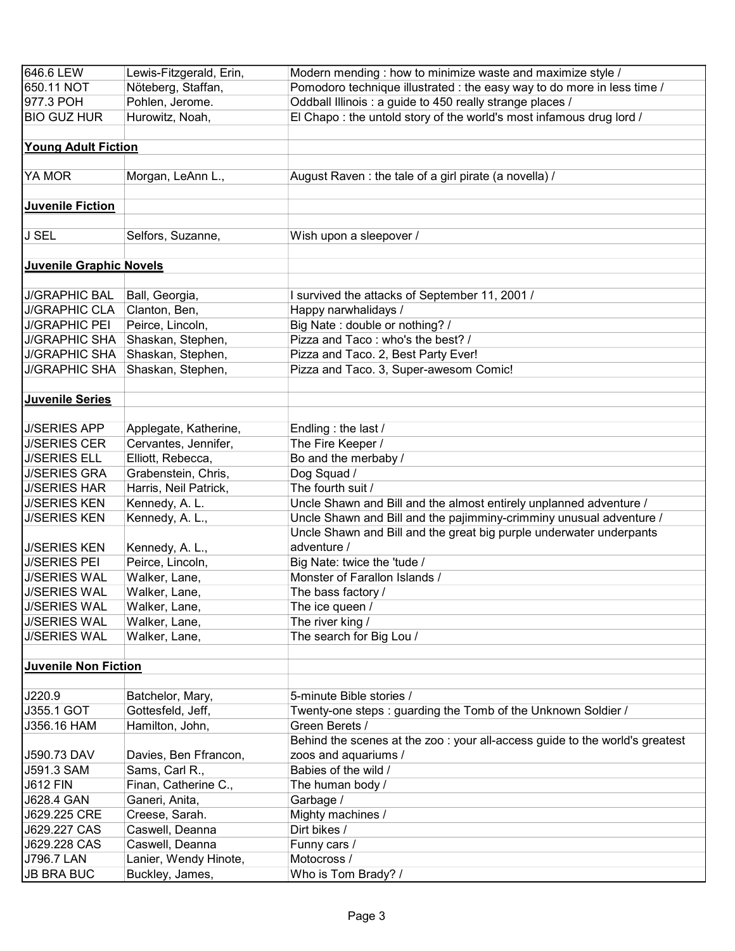| 646.6 LEW                      | Lewis-Fitzgerald, Erin, | Modern mending : how to minimize waste and maximize style /                  |
|--------------------------------|-------------------------|------------------------------------------------------------------------------|
| 650.11 NOT                     | Nöteberg, Staffan,      | Pomodoro technique illustrated : the easy way to do more in less time /      |
| 977.3 POH                      | Pohlen, Jerome.         | Oddball Illinois : a guide to 450 really strange places /                    |
| <b>BIO GUZ HUR</b>             | Hurowitz, Noah,         | El Chapo: the untold story of the world's most infamous drug lord /          |
|                                |                         |                                                                              |
| <b>Young Adult Fiction</b>     |                         |                                                                              |
|                                |                         |                                                                              |
| YA MOR                         | Morgan, LeAnn L.,       | August Raven: the tale of a girl pirate (a novella) /                        |
|                                |                         |                                                                              |
| <b>Juvenile Fiction</b>        |                         |                                                                              |
|                                |                         |                                                                              |
| <b>J SEL</b>                   | Selfors, Suzanne,       | Wish upon a sleepover /                                                      |
|                                |                         |                                                                              |
| <b>Juvenile Graphic Novels</b> |                         |                                                                              |
|                                |                         |                                                                              |
| <b>J/GRAPHIC BAL</b>           | Ball, Georgia,          | I survived the attacks of September 11, 2001 /                               |
| <b>J/GRAPHIC CLA</b>           | Clanton, Ben,           | Happy narwhalidays /                                                         |
| <b>J/GRAPHIC PEI</b>           | Peirce, Lincoln,        | Big Nate: double or nothing? /                                               |
| <b>J/GRAPHIC SHA</b>           | Shaskan, Stephen,       | Pizza and Taco: who's the best? /                                            |
| <b>J/GRAPHIC SHA</b>           | Shaskan, Stephen,       | Pizza and Taco. 2, Best Party Ever!                                          |
| <b>J/GRAPHIC SHA</b>           | Shaskan, Stephen,       | Pizza and Taco. 3, Super-awesom Comic!                                       |
|                                |                         |                                                                              |
| <b>Juvenile Series</b>         |                         |                                                                              |
|                                |                         |                                                                              |
| <b>J/SERIES APP</b>            | Applegate, Katherine,   | Endling : the last /                                                         |
| <b>J/SERIES CER</b>            | Cervantes, Jennifer,    | The Fire Keeper /                                                            |
| <b>J/SERIES ELL</b>            | Elliott, Rebecca,       | Bo and the merbaby /                                                         |
| <b>J/SERIES GRA</b>            | Grabenstein, Chris,     | Dog Squad /                                                                  |
| <b>J/SERIES HAR</b>            | Harris, Neil Patrick,   | The fourth suit /                                                            |
| <b>J/SERIES KEN</b>            | Kennedy, A. L.          | Uncle Shawn and Bill and the almost entirely unplanned adventure /           |
| <b>J/SERIES KEN</b>            | Kennedy, A. L.,         | Uncle Shawn and Bill and the pajimminy-crimminy unusual adventure /          |
|                                |                         | Uncle Shawn and Bill and the great big purple underwater underpants          |
| <b>J/SERIES KEN</b>            | Kennedy, A. L.,         | adventure /                                                                  |
| <b>J/SERIES PEI</b>            | Peirce, Lincoln,        | Big Nate: twice the 'tude /                                                  |
| <b>J/SERIES WAL</b>            | Walker, Lane,           | Monster of Farallon Islands /                                                |
| <b>J/SERIES WAL</b>            | Walker, Lane,           | The bass factory /                                                           |
| <b>J/SERIES WAL</b>            | Walker, Lane,           | The ice queen /                                                              |
| <b>J/SERIES WAL</b>            | Walker, Lane,           | The river king /                                                             |
| <b>J/SERIES WAL</b>            | Walker, Lane,           | The search for Big Lou /                                                     |
|                                |                         |                                                                              |
| <b>Juvenile Non Fiction</b>    |                         |                                                                              |
|                                |                         |                                                                              |
| J220.9                         | Batchelor, Mary,        | 5-minute Bible stories /                                                     |
| J355.1 GOT                     | Gottesfeld, Jeff,       | Twenty-one steps: guarding the Tomb of the Unknown Soldier /                 |
| J356.16 HAM                    | Hamilton, John,         | Green Berets /                                                               |
|                                |                         | Behind the scenes at the zoo : your all-access guide to the world's greatest |
| J590.73 DAV                    | Davies, Ben Ffrancon,   | zoos and aquariums /                                                         |
| J591.3 SAM                     | Sams, Carl R.,          | Babies of the wild /                                                         |
| <b>J612 FIN</b>                | Finan, Catherine C.,    | The human body /                                                             |
| J628.4 GAN                     | Ganeri, Anita,          | Garbage /                                                                    |
| J629.225 CRE                   | Creese, Sarah.          | Mighty machines /                                                            |
| J629.227 CAS                   | Caswell, Deanna         | Dirt bikes /                                                                 |
| J629.228 CAS                   | Caswell, Deanna         | Funny cars /                                                                 |
| J796.7 LAN                     | Lanier, Wendy Hinote,   | Motocross /                                                                  |
| <b>JB BRA BUC</b>              | Buckley, James,         | Who is Tom Brady? /                                                          |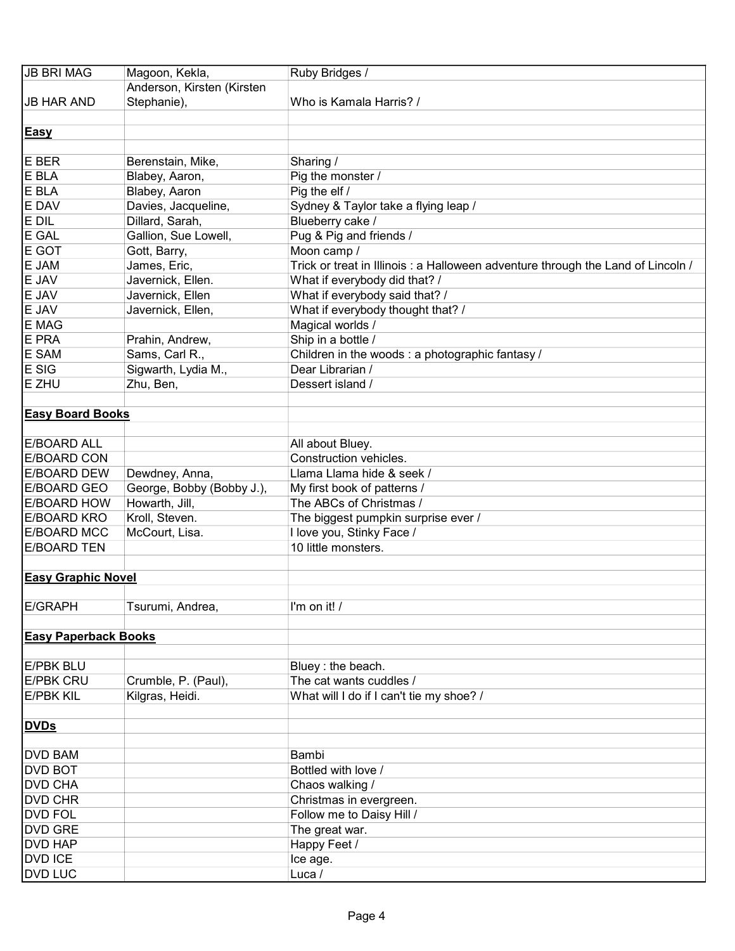| <b>JB BRI MAG</b>           | Magoon, Kekla,             | Ruby Bridges /                                                                   |
|-----------------------------|----------------------------|----------------------------------------------------------------------------------|
|                             | Anderson, Kirsten (Kirsten |                                                                                  |
| <b>JB HAR AND</b>           | Stephanie),                | Who is Kamala Harris? /                                                          |
|                             |                            |                                                                                  |
| <b>Easy</b>                 |                            |                                                                                  |
|                             |                            |                                                                                  |
| E BER                       | Berenstain, Mike,          | Sharing /                                                                        |
| E BLA                       | Blabey, Aaron,             | Pig the monster /                                                                |
| E BLA                       | Blabey, Aaron              | Pig the elf /                                                                    |
| E DAV                       | Davies, Jacqueline,        | Sydney & Taylor take a flying leap /                                             |
| E DIL                       | Dillard, Sarah,            | Blueberry cake /                                                                 |
| E GAL                       | Gallion, Sue Lowell,       | Pug & Pig and friends /                                                          |
| E GOT                       | Gott, Barry,               | Moon camp /                                                                      |
| E JAM                       | James, Eric,               | Trick or treat in Illinois : a Halloween adventure through the Land of Lincoln / |
| E JAV                       | Javernick, Ellen.          | What if everybody did that? /                                                    |
| E JAV                       | Javernick, Ellen           | What if everybody said that? /                                                   |
| E JAV                       |                            | What if everybody thought that? /                                                |
| E MAG                       | Javernick, Ellen,          |                                                                                  |
|                             |                            | Magical worlds /                                                                 |
| E PRA                       | Prahin, Andrew,            | Ship in a bottle /                                                               |
| E SAM                       | Sams, Carl R.,             | Children in the woods: a photographic fantasy /                                  |
| E SIG                       | Sigwarth, Lydia M.,        | Dear Librarian /                                                                 |
| E ZHU                       | Zhu, Ben,                  | Dessert island /                                                                 |
|                             |                            |                                                                                  |
| <b>Easy Board Books</b>     |                            |                                                                                  |
|                             |                            |                                                                                  |
| <b>E/BOARD ALL</b>          |                            | All about Bluey.                                                                 |
| <b>E/BOARD CON</b>          |                            | Construction vehicles.                                                           |
| <b>E/BOARD DEW</b>          | Dewdney, Anna,             | Llama Llama hide & seek /                                                        |
| <b>E/BOARD GEO</b>          | George, Bobby (Bobby J.),  | My first book of patterns /                                                      |
| <b>E/BOARD HOW</b>          | Howarth, Jill,             | The ABCs of Christmas /                                                          |
| <b>E/BOARD KRO</b>          | Kroll, Steven.             | The biggest pumpkin surprise ever /                                              |
| <b>E/BOARD MCC</b>          | McCourt, Lisa.             | I love you, Stinky Face /                                                        |
| <b>E/BOARD TEN</b>          |                            | 10 little monsters.                                                              |
|                             |                            |                                                                                  |
| <b>Easy Graphic Novel</b>   |                            |                                                                                  |
|                             |                            |                                                                                  |
| <b>E/GRAPH</b>              | Tsurumi, Andrea,           | I'm on it! /                                                                     |
|                             |                            |                                                                                  |
| <b>Easy Paperback Books</b> |                            |                                                                                  |
|                             |                            |                                                                                  |
| <b>E/PBK BLU</b>            |                            | Bluey: the beach.                                                                |
| <b>E/PBK CRU</b>            | Crumble, P. (Paul),        | The cat wants cuddles /                                                          |
| <b>E/PBK KIL</b>            | Kilgras, Heidi.            | What will I do if I can't tie my shoe? /                                         |
|                             |                            |                                                                                  |
| <b>DVDs</b>                 |                            |                                                                                  |
|                             |                            |                                                                                  |
| <b>DVD BAM</b>              |                            | Bambi                                                                            |
| <b>DVD BOT</b>              |                            | Bottled with love /                                                              |
| <b>DVD CHA</b>              |                            | Chaos walking /                                                                  |
| <b>DVD CHR</b>              |                            | Christmas in evergreen.                                                          |
| <b>DVD FOL</b>              |                            | Follow me to Daisy Hill /                                                        |
| <b>DVD GRE</b>              |                            | The great war.                                                                   |
| <b>DVD HAP</b>              |                            | Happy Feet /                                                                     |
| <b>DVD ICE</b>              |                            | Ice age.                                                                         |
| <b>DVD LUC</b>              |                            | Luca /                                                                           |
|                             |                            |                                                                                  |